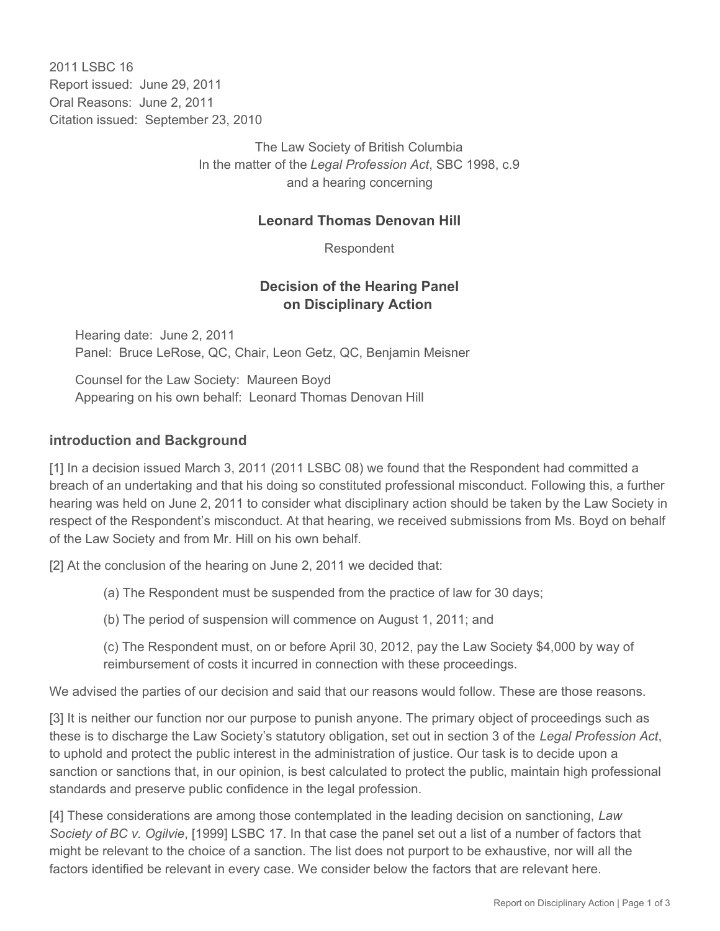2011 I SBC 16 Report issued: June 29, 2011 Oral Reasons: June 2, 2011 Citation issued: September 23, 2010

> The Law Society of British Columbia In the matter of the *Legal Profession Act*, SBC 1998, c.9 and a hearing concerning

## **Leonard Thomas Denovan Hill**

Respondent

## **Decision of the Hearing Panel on Disciplinary Action**

Hearing date: June 2, 2011 Panel: Bruce LeRose, QC, Chair, Leon Getz, QC, Benjamin Meisner

Counsel for the Law Society: Maureen Boyd Appearing on his own behalf: Leonard Thomas Denovan Hill

## **introduction and Background**

[1] In a decision issued March 3, 2011 (2011 LSBC 08) we found that the Respondent had committed a breach of an undertaking and that his doing so constituted professional misconduct. Following this, a further hearing was held on June 2, 2011 to consider what disciplinary action should be taken by the Law Society in respect of the Respondent's misconduct. At that hearing, we received submissions from Ms. Boyd on behalf of the Law Society and from Mr. Hill on his own behalf.

[2] At the conclusion of the hearing on June 2, 2011 we decided that:

(a) The Respondent must be suspended from the practice of law for 30 days;

(b) The period of suspension will commence on August 1, 2011; and

(c) The Respondent must, on or before April 30, 2012, pay the Law Society \$4,000 by way of reimbursement of costs it incurred in connection with these proceedings.

We advised the parties of our decision and said that our reasons would follow. These are those reasons.

[3] It is neither our function nor our purpose to punish anyone. The primary object of proceedings such as these is to discharge the Law Society's statutory obligation, set out in section 3 of the *Legal Profession Act*, to uphold and protect the public interest in the administration of justice. Our task is to decide upon a sanction or sanctions that, in our opinion, is best calculated to protect the public, maintain high professional standards and preserve public confidence in the legal profession.

[4] These considerations are among those contemplated in the leading decision on sanctioning, *Law Society of BC v. Ogilvie*, [1999] LSBC 17. In that case the panel set out a list of a number of factors that might be relevant to the choice of a sanction. The list does not purport to be exhaustive, nor will all the factors identified be relevant in every case. We consider below the factors that are relevant here.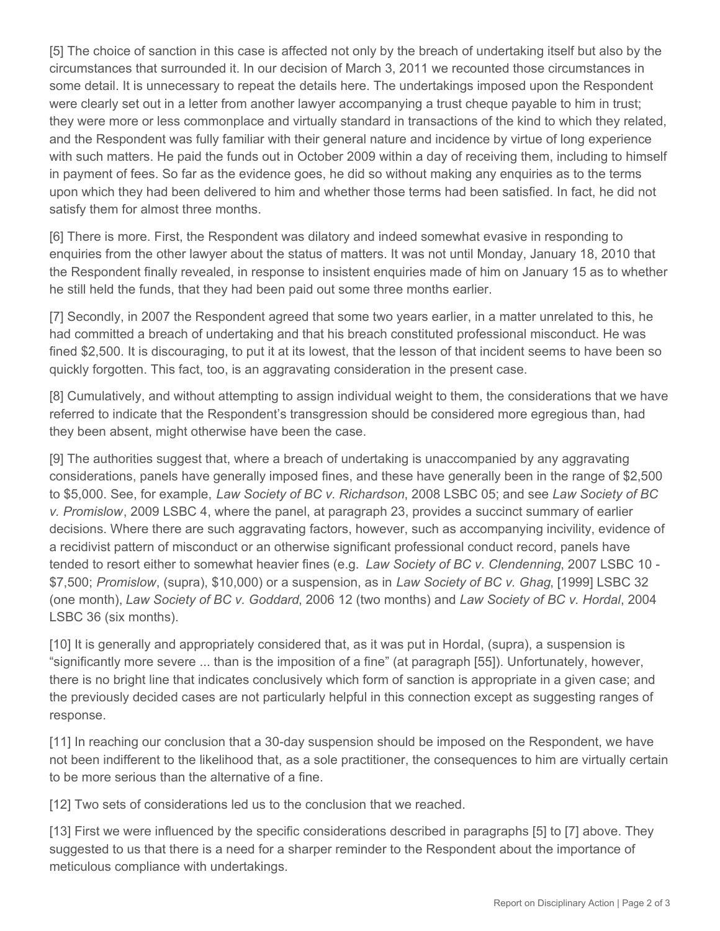[5] The choice of sanction in this case is affected not only by the breach of undertaking itself but also by the circumstances that surrounded it. In our decision of March 3, 2011 we recounted those circumstances in some detail. It is unnecessary to repeat the details here. The undertakings imposed upon the Respondent were clearly set out in a letter from another lawyer accompanying a trust cheque payable to him in trust; they were more or less commonplace and virtually standard in transactions of the kind to which they related, and the Respondent was fully familiar with their general nature and incidence by virtue of long experience with such matters. He paid the funds out in October 2009 within a day of receiving them, including to himself in payment of fees. So far as the evidence goes, he did so without making any enquiries as to the terms upon which they had been delivered to him and whether those terms had been satisfied. In fact, he did not satisfy them for almost three months.

[6] There is more. First, the Respondent was dilatory and indeed somewhat evasive in responding to enquiries from the other lawyer about the status of matters. It was not until Monday, January 18, 2010 that the Respondent finally revealed, in response to insistent enquiries made of him on January 15 as to whether he still held the funds, that they had been paid out some three months earlier.

[7] Secondly, in 2007 the Respondent agreed that some two years earlier, in a matter unrelated to this, he had committed a breach of undertaking and that his breach constituted professional misconduct. He was fined \$2,500. It is discouraging, to put it at its lowest, that the lesson of that incident seems to have been so quickly forgotten. This fact, too, is an aggravating consideration in the present case.

[8] Cumulatively, and without attempting to assign individual weight to them, the considerations that we have referred to indicate that the Respondent's transgression should be considered more egregious than, had they been absent, might otherwise have been the case.

[9] The authorities suggest that, where a breach of undertaking is unaccompanied by any aggravating considerations, panels have generally imposed fines, and these have generally been in the range of \$2,500 to \$5,000. See, for example, *Law Society of BC v. Richardson*, 2008 LSBC 05; and see *Law Society of BC v. Promislow*, 2009 LSBC 4, where the panel, at paragraph 23, provides a succinct summary of earlier decisions. Where there are such aggravating factors, however, such as accompanying incivility, evidence of a recidivist pattern of misconduct or an otherwise significant professional conduct record, panels have tended to resort either to somewhat heavier fines (e.g. *Law Society of BC v. Clendenning*, 2007 LSBC 10 - \$7,500; *Promislow*, (supra), \$10,000) or a suspension, as in *Law Society of BC v. Ghag*, [1999] LSBC 32 (one month), *Law Society of BC v. Goddard*, 2006 12 (two months) and *Law Society of BC v. Hordal*, 2004 LSBC 36 (six months).

[10] It is generally and appropriately considered that, as it was put in Hordal, (supra), a suspension is "significantly more severe ... than is the imposition of a fine" (at paragraph [55]). Unfortunately, however, there is no bright line that indicates conclusively which form of sanction is appropriate in a given case; and the previously decided cases are not particularly helpful in this connection except as suggesting ranges of response.

[11] In reaching our conclusion that a 30-day suspension should be imposed on the Respondent, we have not been indifferent to the likelihood that, as a sole practitioner, the consequences to him are virtually certain to be more serious than the alternative of a fine.

[12] Two sets of considerations led us to the conclusion that we reached.

[13] First we were influenced by the specific considerations described in paragraphs [5] to [7] above. They suggested to us that there is a need for a sharper reminder to the Respondent about the importance of meticulous compliance with undertakings.